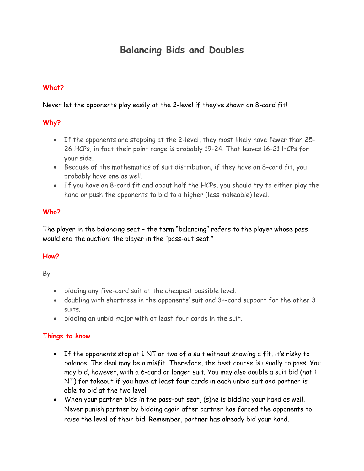# **Balancing Bids and Doubles**

#### **What?**

#### Never let the opponents play easily at the 2-level if they've shown an 8-card fit!

#### **Why?**

- If the opponents are stopping at the 2-level, they most likely have fewer than 25- 26 HCPs, in fact their point range is probably 19-24. That leaves 16-21 HCPs for your side.
- Because of the mathematics of suit distribution, if they have an 8-card fit, you probably have one as well.
- If you have an 8-card fit and about half the HCPs, you should try to either play the hand or push the opponents to bid to a higher (less makeable) level.

#### **Who?**

The player in the balancing seat – the term "balancing" refers to the player whose pass would end the auction; the player in the "pass-out seat."

#### **How?**

By

- bidding any five-card suit at the cheapest possible level.
- doubling with shortness in the opponents' suit and 3+-card support for the other 3 suits.
- bidding an unbid major with at least four cards in the suit.

#### **Things to know**

- If the opponents stop at 1 NT or two of a suit without showing a fit, it's risky to balance. The deal may be a misfit. Therefore, the best course is usually to pass. You may bid, however, with a 6-card or longer suit. You may also double a suit bid (not 1 NT) for takeout if you have at least four cards in each unbid suit and partner is able to bid at the two level.
- When your partner bids in the pass-out seat, (s)he is bidding your hand as well. Never punish partner by bidding again after partner has forced the opponents to raise the level of their bid! Remember, partner has already bid your hand.